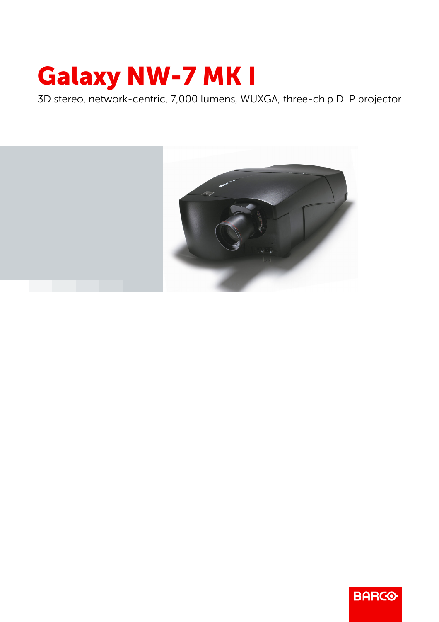## Galaxy NW-7 MK I

3D stereo, network-centric, 7,000 lumens, WUXGA, three-chip DLP projector